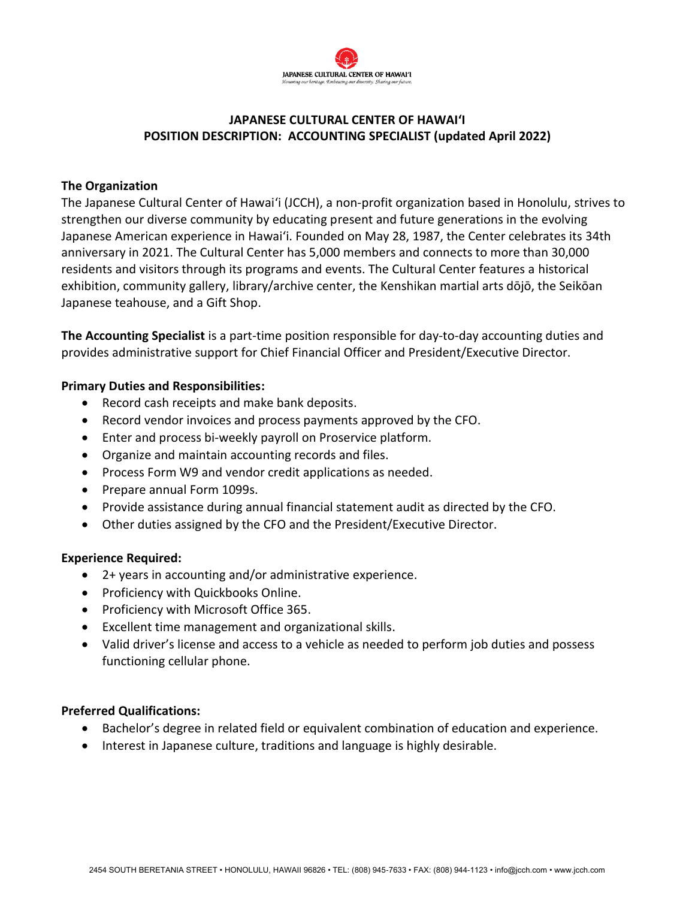

# **JAPANESE CULTURAL CENTER OF HAWAI'I POSITION DESCRIPTION: ACCOUNTING SPECIALIST (updated April 2022)**

## **The Organization**

The Japanese Cultural Center of Hawaiʻi (JCCH), a non-profit organization based in Honolulu, strives to strengthen our diverse community by educating present and future generations in the evolving Japanese American experience in Hawai'i. Founded on May 28, 1987, the Center celebrates its 34th anniversary in 2021. The Cultural Center has 5,000 members and connects to more than 30,000 residents and visitors through its programs and events. The Cultural Center features a historical exhibition, community gallery, library/archive center, the Kenshikan martial arts dōjō, the Seikōan Japanese teahouse, and a Gift Shop.

**The Accounting Specialist** is a part-time position responsible for day-to-day accounting duties and provides administrative support for Chief Financial Officer and President/Executive Director.

### **Primary Duties and Responsibilities:**

- Record cash receipts and make bank deposits.
- Record vendor invoices and process payments approved by the CFO.
- Enter and process bi-weekly payroll on Proservice platform.
- Organize and maintain accounting records and files.
- Process Form W9 and vendor credit applications as needed.
- Prepare annual Form 1099s.
- Provide assistance during annual financial statement audit as directed by the CFO.
- Other duties assigned by the CFO and the President/Executive Director.

#### **Experience Required:**

- 2+ years in accounting and/or administrative experience.
- Proficiency with Quickbooks Online.
- Proficiency with Microsoft Office 365.
- Excellent time management and organizational skills.
- Valid driver's license and access to a vehicle as needed to perform job duties and possess functioning cellular phone.

#### **Preferred Qualifications:**

- Bachelor's degree in related field or equivalent combination of education and experience.
- Interest in Japanese culture, traditions and language is highly desirable.